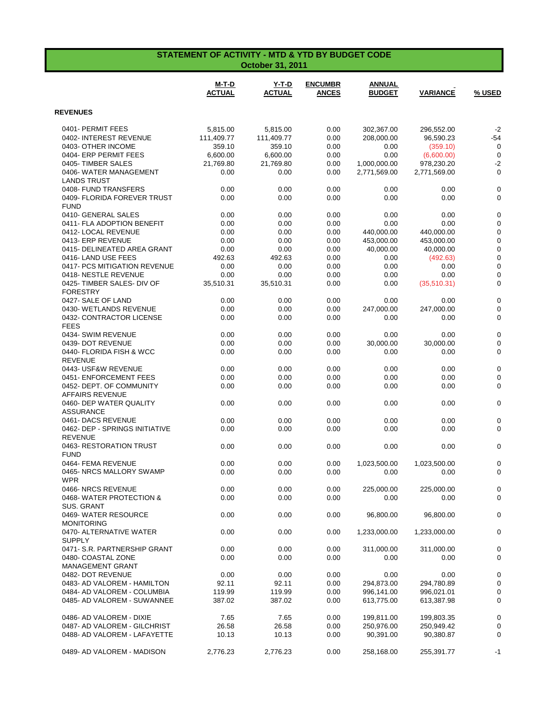| STATEMENT OF ACTIVITY - MTD & YTD BY BUDGET CODE<br><b>October 31, 2011</b> |                               |                               |                                |                                |                 |             |  |
|-----------------------------------------------------------------------------|-------------------------------|-------------------------------|--------------------------------|--------------------------------|-----------------|-------------|--|
|                                                                             | <b>M-T-D</b><br><b>ACTUAL</b> | <b>Y-T-D</b><br><b>ACTUAL</b> | <b>ENCUMBR</b><br><b>ANCES</b> | <b>ANNUAL</b><br><b>BUDGET</b> | <b>VARIANCE</b> | % USED      |  |
| <b>REVENUES</b>                                                             |                               |                               |                                |                                |                 |             |  |
| 0401- PERMIT FEES                                                           | 5,815.00                      | 5,815.00                      | 0.00                           | 302,367.00                     | 296,552.00      | $-2$        |  |
| 0402- INTEREST REVENUE                                                      | 111,409.77                    | 111,409.77                    | 0.00                           | 208,000.00                     | 96,590.23       | $-54$       |  |
| 0403- OTHER INCOME                                                          | 359.10                        | 359.10                        | 0.00                           | 0.00                           | (359.10)        | $\mathbf 0$ |  |
| 0404- ERP PERMIT FEES                                                       | 6,600.00                      | 6,600.00                      | 0.00                           | 0.00                           | (6,600.00)      | $\mathbf 0$ |  |
| 0405-TIMBER SALES                                                           | 21,769.80                     | 21,769.80                     | 0.00                           | 1,000,000.00                   | 978,230.20      | $-2$        |  |
| 0406- WATER MANAGEMENT                                                      | 0.00                          | 0.00                          | 0.00                           | 2,771,569.00                   | 2,771,569.00    | $\mathbf 0$ |  |
| <b>LANDS TRUST</b>                                                          |                               |                               |                                |                                |                 |             |  |
| 0408- FUND TRANSFERS                                                        | 0.00                          | 0.00                          | 0.00                           | 0.00                           | 0.00            | 0           |  |
| 0409- FLORIDA FOREVER TRUST                                                 | 0.00                          | 0.00                          | 0.00                           | 0.00                           | 0.00            | 0           |  |
| <b>FUND</b>                                                                 |                               |                               |                                |                                |                 |             |  |
| 0410- GENERAL SALES                                                         | 0.00                          | 0.00                          | 0.00                           | 0.00                           | 0.00            | 0           |  |
| 0411- FLA ADOPTION BENEFIT                                                  | 0.00                          | 0.00                          | 0.00                           | 0.00                           | 0.00            | $\mathbf 0$ |  |
| 0412- LOCAL REVENUE                                                         | 0.00                          | 0.00                          | 0.00                           | 440,000.00                     | 440,000.00      | $\mathbf 0$ |  |
| 0413- ERP REVENUE                                                           | 0.00                          | 0.00                          | 0.00                           | 453,000.00                     | 453,000.00      | 0           |  |
| 0415- DELINEATED AREA GRANT                                                 | 0.00                          | 0.00                          | 0.00                           | 40,000.00                      | 40,000.00       | $\mathbf 0$ |  |
| 0416-LAND USE FEES                                                          | 492.63                        | 492.63                        | 0.00                           | 0.00                           | (492.63)        | 0           |  |
| 0417- PCS MITIGATION REVENUE                                                | 0.00                          | 0.00                          | 0.00                           | 0.00                           | 0.00            | $\mathbf 0$ |  |
| 0418-NESTLE REVENUE                                                         | 0.00                          | 0.00                          | 0.00                           | 0.00                           | 0.00            | $\mathbf 0$ |  |
| 0425- TIMBER SALES- DIV OF<br><b>FORESTRY</b>                               | 35,510.31                     | 35,510.31                     | 0.00                           | 0.00                           | (35,510.31)     | $\mathbf 0$ |  |
| 0427- SALE OF LAND                                                          | 0.00                          | 0.00                          | 0.00                           | 0.00                           | 0.00            | 0           |  |
| 0430- WETLANDS REVENUE                                                      | 0.00                          | 0.00                          | 0.00                           | 247,000.00                     | 247,000.00      | 0           |  |
| 0432- CONTRACTOR LICENSE<br><b>FEES</b>                                     | 0.00                          | 0.00                          | 0.00                           | 0.00                           | 0.00            | 0           |  |
| 0434- SWIM REVENUE                                                          | 0.00                          | 0.00                          | 0.00                           | 0.00                           | 0.00            | $\mathbf 0$ |  |
| 0439- DOT REVENUE                                                           | 0.00                          | 0.00                          | 0.00                           | 30,000.00                      | 30,000.00       | 0           |  |
| 0440- FLORIDA FISH & WCC<br><b>REVENUE</b>                                  | 0.00                          | 0.00                          | 0.00                           | 0.00                           | 0.00            | 0           |  |
| 0443- USF&W REVENUE                                                         | 0.00                          | 0.00                          | 0.00                           | 0.00                           | 0.00            | $\mathbf 0$ |  |
| 0451- ENFORCEMENT FEES                                                      | 0.00                          | 0.00                          | 0.00                           | 0.00                           | 0.00            | 0           |  |
| 0452- DEPT. OF COMMUNITY<br><b>AFFAIRS REVENUE</b>                          | 0.00                          | 0.00                          | 0.00                           | 0.00                           | 0.00            | 0           |  |
| 0460- DEP WATER QUALITY<br><b>ASSURANCE</b>                                 | 0.00                          | 0.00                          | 0.00                           | 0.00                           | 0.00            | 0           |  |
| 0461- DACS REVENUE                                                          | 0.00                          | 0.00                          | 0.00                           | 0.00                           | 0.00            | $\mathbf 0$ |  |
| 0462- DEP - SPRINGS INITIATIVE<br><b>REVENUE</b>                            | 0.00                          | 0.00                          | 0.00                           | 0.00                           | 0.00            | 0           |  |
| 0463-RESTORATION TRUST<br><b>FUND</b>                                       | 0.00                          | 0.00                          | 0.00                           | 0.00                           | 0.00            | 0           |  |
| 0464- FEMA REVENUE                                                          | 0.00                          | 0.00                          | 0.00                           | 1,023,500.00                   | 1,023,500.00    | $\pmb{0}$   |  |
| 0465- NRCS MALLORY SWAMP<br><b>WPR</b>                                      | 0.00                          | 0.00                          | 0.00                           | 0.00                           | 0.00            | 0           |  |
| 0466- NRCS REVENUE                                                          | 0.00                          | 0.00                          | 0.00                           | 225,000.00                     | 225,000.00      | 0           |  |
| 0468-WATER PROTECTION &<br>SUS. GRANT                                       | 0.00                          | 0.00                          | 0.00                           | 0.00                           | 0.00            | 0           |  |
| 0469- WATER RESOURCE<br><b>MONITORING</b>                                   | 0.00                          | 0.00                          | 0.00                           | 96,800.00                      | 96,800.00       | 0           |  |
| 0470- ALTERNATIVE WATER<br><b>SUPPLY</b>                                    | 0.00                          | 0.00                          | 0.00                           | 1,233,000.00                   | 1,233,000.00    | 0           |  |
| 0471- S.R. PARTNERSHIP GRANT                                                | 0.00                          | 0.00                          | 0.00                           | 311,000.00                     | 311,000.00      | 0           |  |
| 0480- COASTAL ZONE<br>MANAGEMENT GRANT                                      | 0.00                          | 0.00                          | 0.00                           | 0.00                           | 0.00            | 0           |  |
| 0482- DOT REVENUE                                                           | 0.00                          | 0.00                          | 0.00                           | 0.00                           | 0.00            | $\mathbf 0$ |  |
| 0483- AD VALOREM - HAMILTON                                                 | 92.11                         | 92.11                         | 0.00                           | 294,873.00                     | 294,780.89      | 0           |  |
| 0484- AD VALOREM - COLUMBIA                                                 | 119.99                        | 119.99                        | 0.00                           | 996,141.00                     | 996,021.01      | 0           |  |
| 0485- AD VALOREM - SUWANNEE                                                 | 387.02                        | 387.02                        | 0.00                           | 613,775.00                     | 613,387.98      | 0           |  |
| 0486- AD VALOREM - DIXIE                                                    | 7.65                          | 7.65                          | 0.00                           | 199,811.00                     | 199,803.35      | 0           |  |
| 0487- AD VALOREM - GILCHRIST                                                | 26.58                         | 26.58                         | 0.00                           | 250,976.00                     | 250,949.42      | 0           |  |
| 0488- AD VALOREM - LAFAYETTE                                                | 10.13                         | 10.13                         | 0.00                           | 90,391.00                      | 90,380.87       | 0           |  |
| 0489- AD VALOREM - MADISON                                                  | 2,776.23                      | 2,776.23                      | 0.00                           | 258,168.00                     | 255,391.77      | -1          |  |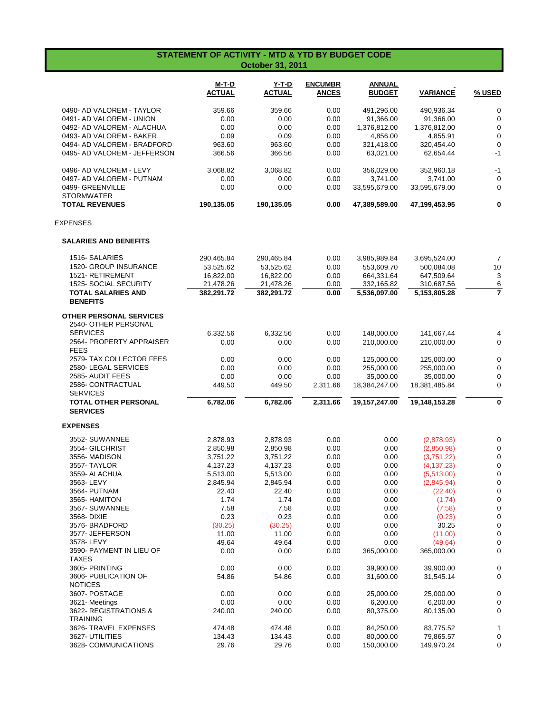| <b>STATEMENT OF ACTIVITY - MTD &amp; YTD BY BUDGET CODE</b><br><b>October 31, 2011</b> |                        |                               |                                |                                |                           |                  |  |
|----------------------------------------------------------------------------------------|------------------------|-------------------------------|--------------------------------|--------------------------------|---------------------------|------------------|--|
|                                                                                        | M-T-D<br><b>ACTUAL</b> | <u>Y-T-D</u><br><b>ACTUAL</b> | <b>ENCUMBR</b><br><b>ANCES</b> | <b>ANNUAL</b><br><b>BUDGET</b> | <b>VARIANCE</b>           | % USED           |  |
| 0490- AD VALOREM - TAYLOR                                                              | 359.66                 | 359.66                        | 0.00                           | 491,296.00                     | 490,936.34                | $\pmb{0}$        |  |
| 0491- AD VALOREM - UNION                                                               | 0.00                   | 0.00                          | 0.00                           | 91,366.00                      | 91,366.00                 | 0                |  |
| 0492- AD VALOREM - ALACHUA                                                             | 0.00                   | 0.00                          | 0.00                           | 1,376,812.00                   | 1,376,812.00              | $\mathbf 0$      |  |
| 0493- AD VALOREM - BAKER                                                               | 0.09                   | 0.09                          | 0.00                           | 4,856.00                       | 4,855.91                  | 0                |  |
| 0494- AD VALOREM - BRADFORD                                                            | 963.60                 | 963.60                        | 0.00                           | 321,418.00                     | 320,454.40                | $\mathbf 0$      |  |
| 0495- AD VALOREM - JEFFERSON                                                           | 366.56                 | 366.56                        | 0.00                           | 63,021.00                      | 62,654.44                 | $-1$             |  |
| 0496- AD VALOREM - LEVY                                                                | 3,068.82               | 3,068.82                      | 0.00                           | 356,029.00                     | 352,960.18                | $-1$             |  |
| 0497- AD VALOREM - PUTNAM                                                              | 0.00                   | 0.00                          | 0.00                           | 3,741.00                       | 3,741.00                  | $\mathbf 0$      |  |
| 0499- GREENVILLE                                                                       | 0.00                   | 0.00                          | 0.00                           | 33,595,679.00                  | 33,595,679.00             | 0                |  |
| <b>STORMWATER</b><br><b>TOTAL REVENUES</b>                                             | 190,135.05             | 190,135.05                    | 0.00                           | 47,389,589.00                  | 47,199,453.95             | $\mathbf 0$      |  |
| <b>EXPENSES</b>                                                                        |                        |                               |                                |                                |                           |                  |  |
| <b>SALARIES AND BENEFITS</b>                                                           |                        |                               |                                |                                |                           |                  |  |
|                                                                                        |                        |                               |                                |                                |                           | $\overline{7}$   |  |
| 1516- SALARIES<br><b>1520- GROUP INSURANCE</b>                                         | 290,465.84             | 290,465.84                    | 0.00                           | 3,985,989.84                   | 3,695,524.00              | 10               |  |
| 1521-RETIREMENT                                                                        | 53,525.62<br>16,822.00 | 53,525.62<br>16,822.00        | 0.00<br>0.00                   | 553,609.70<br>664,331.64       | 500,084.08                |                  |  |
| 1525- SOCIAL SECURITY                                                                  | 21,478.26              | 21,478.26                     | 0.00                           | 332,165.82                     | 647,509.64<br>310,687.56  | 3<br>6           |  |
| <b>TOTAL SALARIES AND</b>                                                              | 382,291.72             | 382,291.72                    | 0.00                           | 5,536,097.00                   | 5,153,805.28              | $\overline{7}$   |  |
| <b>BENEFITS</b>                                                                        |                        |                               |                                |                                |                           |                  |  |
| <b>OTHER PERSONAL SERVICES</b>                                                         |                        |                               |                                |                                |                           |                  |  |
| 2540- OTHER PERSONAL                                                                   |                        |                               |                                |                                |                           |                  |  |
| <b>SERVICES</b>                                                                        | 6,332.56               | 6,332.56                      | 0.00                           | 148,000.00                     | 141,667.44                | 4                |  |
| 2564- PROPERTY APPRAISER<br><b>FEES</b>                                                | 0.00                   | 0.00                          | 0.00                           | 210,000.00                     | 210,000.00                | $\mathbf 0$      |  |
| 2579- TAX COLLECTOR FEES                                                               | 0.00                   | 0.00                          | 0.00                           | 125,000.00                     |                           | 0                |  |
| 2580- LEGAL SERVICES                                                                   | 0.00                   | 0.00                          | 0.00                           | 255,000.00                     | 125,000.00<br>255,000.00  | 0                |  |
| 2585- AUDIT FEES                                                                       | 0.00                   | 0.00                          | 0.00                           | 35,000.00                      | 35,000.00                 | 0                |  |
| 2586- CONTRACTUAL                                                                      | 449.50                 | 449.50                        | 2,311.66                       | 18,384,247.00                  | 18,381,485.84             | 0                |  |
| <b>SERVICES</b><br><b>TOTAL OTHER PERSONAL</b><br><b>SERVICES</b>                      | 6,782.06               | 6,782.06                      | 2,311.66                       | 19,157,247.00                  | 19,148,153.28             | 0                |  |
| <b>EXPENSES</b>                                                                        |                        |                               |                                |                                |                           |                  |  |
|                                                                                        |                        |                               |                                |                                |                           |                  |  |
| 3552- SUWANNEE                                                                         | 2,878.93               | 2,878.93                      | 0.00                           | 0.00                           | (2,878.93)                | 0                |  |
| 3554- GILCHRIST                                                                        | 2,850.98               | 2,850.98                      | 0.00                           | 0.00                           | (2,850.98)                | $\mathbf 0$      |  |
| 3556-MADISON                                                                           | 3,751.22               | 3,751.22                      | 0.00<br>0.00                   | 0.00<br>0.00                   | (3,751.22)<br>(4, 137.23) | $\mathbf 0$      |  |
| 3557- TAYLOR<br>3559- ALACHUA                                                          | 4,137.23               | 4,137.23                      | 0.00                           | 0.00                           | (5,513.00)                | 0                |  |
| 3563-LEVY                                                                              | 5,513.00<br>2,845.94   | 5,513.00<br>2,845.94          | 0.00                           | 0.00                           | (2,845.94)                | 0<br>$\mathbf 0$ |  |
| 3564- PUTNAM                                                                           | 22.40                  | 22.40                         | 0.00                           | 0.00                           | (22.40)                   | 0                |  |
| 3565- HAMITON                                                                          | 1.74                   | 1.74                          | 0.00                           | 0.00                           | (1.74)                    | 0                |  |
| 3567- SUWANNEE                                                                         | 7.58                   | 7.58                          | 0.00                           | 0.00                           | (7.58)                    | 0                |  |
| 3568-DIXIE                                                                             | 0.23                   | 0.23                          | 0.00                           | 0.00                           | (0.23)                    | 0                |  |
| 3576- BRADFORD                                                                         | (30.25)                | (30.25)                       | 0.00                           | 0.00                           | 30.25                     | 0                |  |
| 3577- JEFFERSON                                                                        | 11.00                  | 11.00                         | 0.00                           | 0.00                           | (11.00)                   | 0                |  |
| 3578-LEVY                                                                              | 49.64                  | 49.64                         | 0.00                           | 0.00                           | (49.64)                   | $\pmb{0}$        |  |
| 3590- PAYMENT IN LIEU OF<br>TAXES                                                      | 0.00                   | 0.00                          | 0.00                           | 365,000.00                     | 365,000.00                | 0                |  |
| 3605- PRINTING                                                                         | 0.00                   | 0.00                          | 0.00                           | 39,900.00                      | 39,900.00                 | 0                |  |
| 3606- PUBLICATION OF                                                                   | 54.86                  | 54.86                         | 0.00                           | 31,600.00                      | 31,545.14                 | 0                |  |
| <b>NOTICES</b><br>3607- POSTAGE                                                        | 0.00                   | 0.00                          | 0.00                           | 25,000.00                      | 25,000.00                 | 0                |  |
| 3621-Meetings                                                                          | 0.00                   | 0.00                          | 0.00                           | 6,200.00                       | 6,200.00                  | 0                |  |
| 3622- REGISTRATIONS &                                                                  | 240.00                 | 240.00                        | 0.00                           | 80,375.00                      | 80,135.00                 | 0                |  |
| <b>TRAINING</b>                                                                        |                        |                               |                                |                                |                           |                  |  |
| 3626- TRAVEL EXPENSES                                                                  | 474.48                 | 474.48                        | 0.00                           | 84,250.00                      | 83,775.52                 | 1                |  |
| 3627- UTILITIES                                                                        | 134.43                 | 134.43                        | 0.00                           | 80,000.00                      | 79,865.57                 | 0                |  |
| 3628- COMMUNICATIONS                                                                   | 29.76                  | 29.76                         | 0.00                           | 150,000.00                     | 149,970.24                | 0                |  |